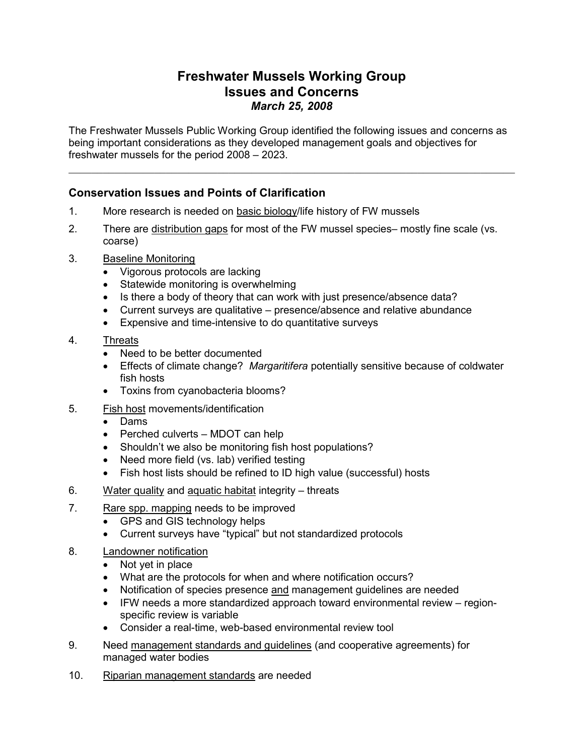## Freshwater Mussels Working Group Issues and Concerns March 25, 2008

The Freshwater Mussels Public Working Group identified the following issues and concerns as being important considerations as they developed management goals and objectives for freshwater mussels for the period 2008 – 2023.

 $\_$  , and the set of the set of the set of the set of the set of the set of the set of the set of the set of the set of the set of the set of the set of the set of the set of the set of the set of the set of the set of th

## Conservation Issues and Points of Clarification

- 1. More research is needed on basic biology/life history of FW mussels
- 2. There are distribution gaps for most of the FW mussel species– mostly fine scale (vs. coarse)
- 3. Baseline Monitoring
	- Vigorous protocols are lacking
	- Statewide monitoring is overwhelming
	- Is there a body of theory that can work with just presence/absence data?
	- Current surveys are qualitative presence/absence and relative abundance
	- Expensive and time-intensive to do quantitative surveys
- 4. Threats
	- Need to be better documented
	- Effects of climate change? Margaritifera potentially sensitive because of coldwater fish hosts
	- Toxins from cyanobacteria blooms?
- 5. Fish host movements/identification
	- Dams
	- Perched culverts MDOT can help
	- Shouldn't we also be monitoring fish host populations?
	- Need more field (vs. lab) verified testing
	- Fish host lists should be refined to ID high value (successful) hosts
- 6. Water quality and aquatic habitat integrity threats
- 7. Rare spp. mapping needs to be improved
	- GPS and GIS technology helps
	- Current surveys have "typical" but not standardized protocols
- 8. Landowner notification
	- Not yet in place
	- What are the protocols for when and where notification occurs?
	- Notification of species presence and management guidelines are needed
	- IFW needs a more standardized approach toward environmental review regionspecific review is variable
	- Consider a real-time, web-based environmental review tool
- 9. Need management standards and guidelines (and cooperative agreements) for managed water bodies
- 10. Riparian management standards are needed